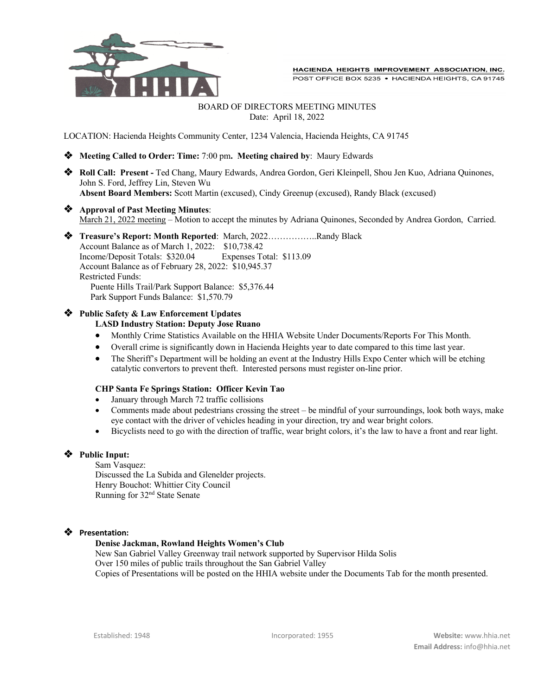

## BOARD OF DIRECTORS MEETING MINUTES Date: April 18, 2022

LOCATION: Hacienda Heights Community Center, 1234 Valencia, Hacienda Heights, CA 91745

v **Meeting Called to Order: Time:** 7:00 pm**. Meeting chaired by**: Maury Edwards

v **Roll Call: Present -** Ted Chang, Maury Edwards, Andrea Gordon, Geri Kleinpell, Shou Jen Kuo, Adriana Quinones, John S. Ford, Jeffrey Lin, Steven Wu **Absent Board Members:** Scott Martin (excused), Cindy Greenup (excused), Randy Black (excused)

# v **Approval of Past Meeting Minutes**:

March 21, 2022 meeting – Motion to accept the minutes by Adriana Quinones, Seconded by Andrea Gordon, Carried.



## **Public Safety & Law Enforcement Updates**

#### **LASD Industry Station: Deputy Jose Ruano**

- Monthly Crime Statistics Available on the HHIA Website Under Documents/Reports For This Month.
- Overall crime is significantly down in Hacienda Heights year to date compared to this time last year.
- The Sheriff's Department will be holding an event at the Industry Hills Expo Center which will be etching catalytic convertors to prevent theft. Interested persons must register on-line prior.

## **CHP Santa Fe Springs Station: Officer Kevin Tao**

- January through March 72 traffic collisions
- Comments made about pedestrians crossing the street be mindful of your surroundings, look both ways, make eye contact with the driver of vehicles heading in your direction, try and wear bright colors.
- Bicyclists need to go with the direction of traffic, wear bright colors, it's the law to have a front and rear light.

## **Public Input:**

Sam Vasquez: Discussed the La Subida and Glenelder projects. Henry Bouchot: Whittier City Council Running for 32nd State Senate

## v **Presentation:**

#### **Denise Jackman, Rowland Heights Women's Club**

New San Gabriel Valley Greenway trail network supported by Supervisor Hilda Solis Over 150 miles of public trails throughout the San Gabriel Valley Copies of Presentations will be posted on the HHIA website under the Documents Tab for the month presented.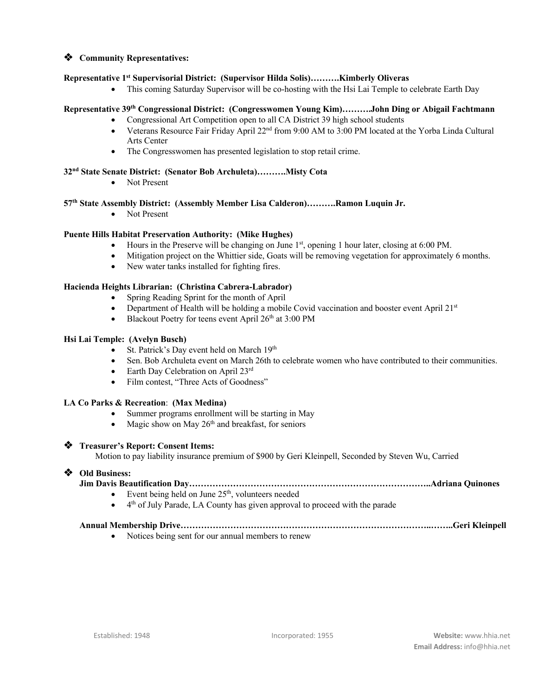## $\triangleleft$  Community Representatives:

## **Representative 1st Supervisorial District: (Supervisor Hilda Solis)……….Kimberly Oliveras**

• This coming Saturday Supervisor will be co-hosting with the Hsi Lai Temple to celebrate Earth Day

## **Representative 39th Congressional District: (Congresswomen Young Kim)……….John Ding or Abigail Fachtmann**

- Congressional Art Competition open to all CA District 39 high school students
- Veterans Resource Fair Friday April 22<sup>nd</sup> from 9:00 AM to 3:00 PM located at the Yorba Linda Cultural Arts Center
- The Congresswomen has presented legislation to stop retail crime.

## **32nd State Senate District: (Senator Bob Archuleta)……….Misty Cota**

• Not Present

## **57th State Assembly District: (Assembly Member Lisa Calderon)……….Ramon Luquin Jr.**

• Not Present

## **Puente Hills Habitat Preservation Authority: (Mike Hughes)**

- Hours in the Preserve will be changing on June  $1<sup>st</sup>$ , opening 1 hour later, closing at 6:00 PM.
- Mitigation project on the Whittier side, Goats will be removing vegetation for approximately 6 months.
- New water tanks installed for fighting fires.

#### **Hacienda Heights Librarian: (Christina Cabrera-Labrador)**

- Spring Reading Sprint for the month of April
- Department of Health will be holding a mobile Covid vaccination and booster event April  $21^{st}$
- Blackout Poetry for teens event April  $26<sup>th</sup>$  at 3:00 PM

## **Hsi Lai Temple: (Avelyn Busch)**

- St. Patrick's Day event held on March 19<sup>th</sup>
- Sen. Bob Archuleta event on March 26th to celebrate women who have contributed to their communities.
- Earth Day Celebration on April 23rd
- Film contest, "Three Acts of Goodness"

## **LA Co Parks & Recreation**: **(Max Medina)**

- Summer programs enrollment will be starting in May
- Magic show on May  $26<sup>th</sup>$  and breakfast, for seniors

#### v **Treasurer's Report: Consent Items:**

Motion to pay liability insurance premium of \$900 by Geri Kleinpell, Seconded by Steven Wu, Carried

## v **Old Business:**

# **Jim Davis Beautification Day………………………………………………………………………..Adriana Quinones**

- Event being held on June  $25<sup>th</sup>$ , volunteers needed
- $\bullet$  4<sup>th</sup> of July Parade, LA County has given approval to proceed with the parade

# **Annual Membership Drive…………………………………………………………………………..……..Geri Kleinpell**

• Notices being sent for our annual members to renew